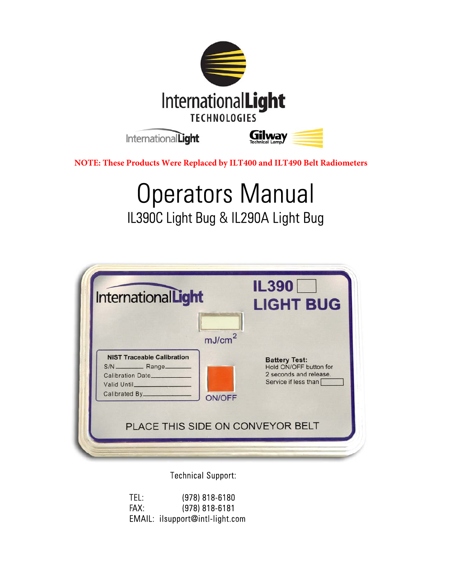

**NOTE: These Products Were Replaced by ILT400 and ILT490 Belt Radiometers**

# Operators Manual IL390C Light Bug & IL290A Light Bug

| mJ/cm <sup>2</sup>                                                                                                |
|-------------------------------------------------------------------------------------------------------------------|
| <b>Battery Test:</b><br>Hold ON/OFF button for<br>2 seconds and release.<br>Service if less than<br><b>ON/OFF</b> |
|                                                                                                                   |

Technical Support:

| TEL: | (978) 818-6180                  |
|------|---------------------------------|
| FAX: | $(978) 818 - 6181$              |
|      | EMAIL: ilsupport@intl-light.com |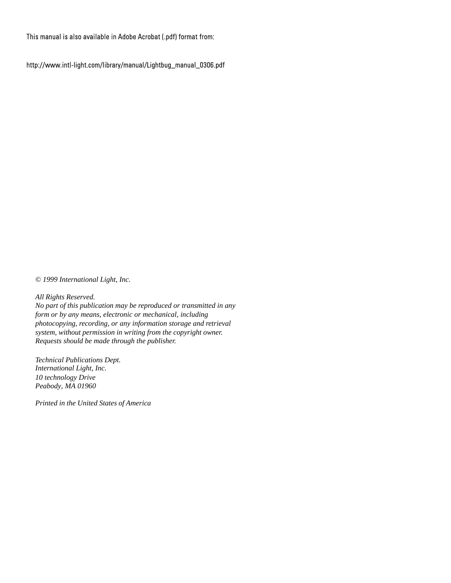This manual is also available in Adobe Acrobat (.pdf) format from:

http://www.intl-light.com/library/manual/Lightbug\_manual\_0306.pdf

*© 1999 International Light, Inc.*

*All Rights Reserved. No part of this publication may be reproduced or transmitted in any form or by any means, electronic or mechanical, including photocopying, recording, or any information storage and retrieval system, without permission in writing from the copyright owner. Requests should be made through the publisher.*

*Technical Publications Dept. International Light, Inc. 10 technology Drive Peabody, MA 01960*

*Printed in the United States of America*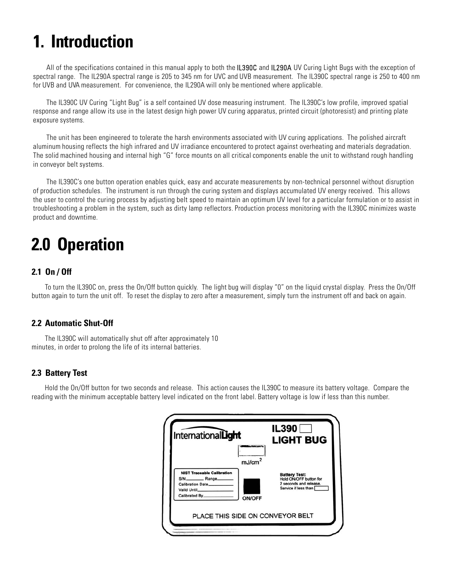# **1. Introduction**

All of the specifications contained in this manual apply to both the IL390C and IL290A UV Curing Light Bugs with the exception of spectral range. The IL290A spectral range is 205 to 345 nm for UVC and UVB measurement. The IL390C spectral range is 250 to 400 nm for UVB and UVA measurement. For convenience, the IL290A will only be mentioned where applicable.

The IL390C UV Curing "Light Bug" is a self contained UV dose measuring instrument. The IL390C's low profile, improved spatial response and range allow its use in the latest design high power UV curing apparatus, printed circuit (photoresist) and printing plate exposure systems.

The unit has been engineered to tolerate the harsh environments associated with UV curing applications. The polished aircraft aluminum housing reflects the high infrared and UV irradiance encountered to protect against overheating and materials degradation. The solid machined housing and internal high "G" force mounts on all critical components enable the unit to withstand rough handling in conveyor belt systems.

The IL390C's one button operation enables quick, easy and accurate measurements by non-technical personnel without disruption of production schedules. The instrument is run through the curing system and displays accumulated UV energy received. This allows the user to control the curing process by adjusting belt speed to maintain an optimum UV level for a particular formulation or to assist in troubleshooting a problem in the system, such as dirty lamp reflectors. Production process monitoring with the IL390C minimizes waste product and downtime.

# **2.0 Operation**

### **2.1 On / Off**

To turn the IL390C on, press the On/Off button quickly. The light bug will display "0" on the liquid crystal display. Press the On/Off button again to turn the unit off. To reset the display to zero after a measurement, simply turn the instrument off and back on again.

### **2.2 Automatic Shut-Off**

The IL390C will automatically shut off after approximately 10 minutes, in order to prolong the life of its internal batteries.

### **2.3 Battery Test**

Hold the On/Off button for two seconds and release. This action causes the IL390C to measure its battery voltage. Compare the reading with the minimum acceptable battery level indicated on the front label. Battery voltage is low if less than this number.

| InternationalLight                                                                                                            | <b>IL390</b><br><b>LIGHT BUG</b>                                                                 |
|-------------------------------------------------------------------------------------------------------------------------------|--------------------------------------------------------------------------------------------------|
| mJ/cm <sup>2</sup><br><b>NIST Traceable Calibration</b><br>Calibration Date<br>Valid Until<br>Calibrated By.<br><b>ON/OFF</b> | <b>Battery Test:</b><br>Hold ON/OFF button for<br>2 seconds and release.<br>Service if less than |
| PLACE THIS SIDE ON CONVEYOR BELT                                                                                              |                                                                                                  |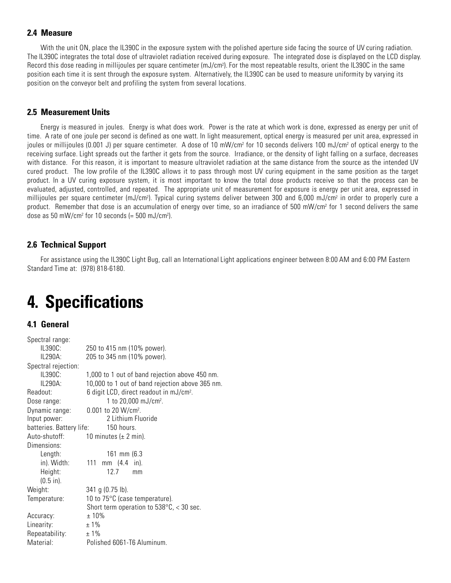#### **2.4 Measure**

With the unit ON, place the IL390C in the exposure system with the polished aperture side facing the source of UV curing radiation. The IL390C integrates the total dose of ultraviolet radiation received during exposure. The integrated dose is displayed on the LCD display. Record this dose reading in millijoules per square centimeter (mJ/cm²). For the most repeatable results, orient the IL390C in the same position each time it is sent through the exposure system. Alternatively, the IL390C can be used to measure uniformity by varying its position on the conveyor belt and profiling the system from several locations.

#### **2.5 Measurement Units**

Energy is measured in joules. Energy is what does work. Power is the rate at which work is done, expressed as energy per unit of time. A rate of one joule per second is defined as one watt. In light measurement, optical energy is measured per unit area, expressed in joules or millijoules (0.001 J) per square centimeter. A dose of 10 mW/cm<sup>2</sup> for 10 seconds delivers 100 mJ/cm<sup>2</sup> of optical energy to the receiving surface. Light spreads out the farther it gets from the source. Irradiance, or the density of light falling on a surface, decreases with distance. For this reason, it is important to measure ultraviolet radiation at the same distance from the source as the intended UV cured product. The low profile of the IL390C allows it to pass through most UV curing equipment in the same position as the target product. In a UV curing exposure system, it is most important to know the total dose products receive so that the process can be evaluated, adjusted, controlled, and repeated. The appropriate unit of measurement for exposure is energy per unit area, expressed in millijoules per square centimeter (mJ/cm<sup>2</sup>). Typical curing systems deliver between 300 and 6,000 mJ/cm<sup>2</sup> in order to properly cure a product. Remember that dose is an accumulation of energy over time, so an irradiance of 500 mW/cm<sup>2</sup> for 1 second delivers the same dose as 50 mW/cm2 for 10 seconds (= 500 mJ/cm2 ).

#### **2.6 Technical Support**

For assistance using the IL390C Light Bug, call an International Light applications engineer between 8:00 AM and 6:00 PM Eastern Standard Time at: (978) 818-6180.

# **4. Specifications**

#### **4.1 General**

| Spectral range:          |                                                     |
|--------------------------|-----------------------------------------------------|
| IL390C:                  | 250 to 415 nm (10% power).                          |
| IL290A:                  | 205 to 345 nm (10% power).                          |
| Spectral rejection:      |                                                     |
| IL390C:                  | 1,000 to 1 out of band rejection above 450 nm.      |
| IL290A:                  | 10,000 to 1 out of band rejection above 365 nm.     |
| Readout:                 | 6 digit LCD, direct readout in mJ/cm <sup>2</sup> . |
| Dose range:              | 1 to $20,000 \text{ mJ/cm}^2$ .                     |
| Dynamic range:           | $0.001$ to 20 W/cm <sup>2</sup> .                   |
| Input power:             | 2 Lithium Fluoride                                  |
| batteries. Battery life: | 150 hours.                                          |
| Auto-shutoff:            | 10 minutes ( $\pm$ 2 min).                          |
| Dimensions:              |                                                     |
| Length:                  | $161 \, \text{mm}$ (6.3)                            |
| in). Width:              | 111<br>mm $(4.4 \text{ in}).$                       |
| Height:                  | 12.7<br>mm                                          |
| $(0.5 \text{ in}).$      |                                                     |
| Weight:                  | $341$ g (0.75 lb).                                  |
| Temperature:             | 10 to $75^{\circ}$ C (case temperature).            |
|                          | Short term operation to $538^{\circ}$ C, < 30 sec.  |
| Accuracy:                | $±10\%$                                             |
| Linearity:               | $±1\%$                                              |
| Repeatability:           | $±1\%$                                              |
| Material:                | Polished 6061-T6 Aluminum.                          |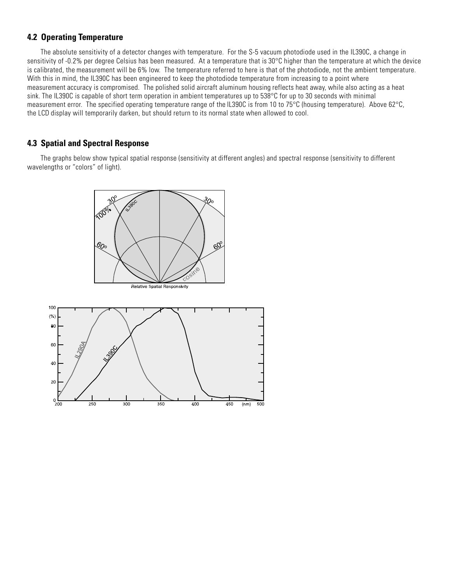#### **4.2 Operating Temperature**

The absolute sensitivity of a detector changes with temperature. For the S-5 vacuum photodiode used in the IL390C, a change in sensitivity of -0.2% per degree Celsius has been measured. At a temperature that is 30°C higher than the temperature at which the device is calibrated, the measurement will be 6% low. The temperature referred to here is that of the photodiode, not the ambient temperature. With this in mind, the IL390C has been engineered to keep the photodiode temperature from increasing to a point where measurement accuracy is compromised. The polished solid aircraft aluminum housing reflects heat away, while also acting as a heat sink. The IL390C is capable of short term operation in ambient temperatures up to 538°C for up to 30 seconds with minimal measurement error. The specified operating temperature range of the IL390C is from 10 to 75°C (housing temperature). Above 62°C, the LCD display will temporarily darken, but should return to its normal state when allowed to cool.

#### **4.3 Spatial and Spectral Response**

The graphs below show typical spatial response (sensitivity at different angles) and spectral response (sensitivity to different wavelengths or "colors" of light).



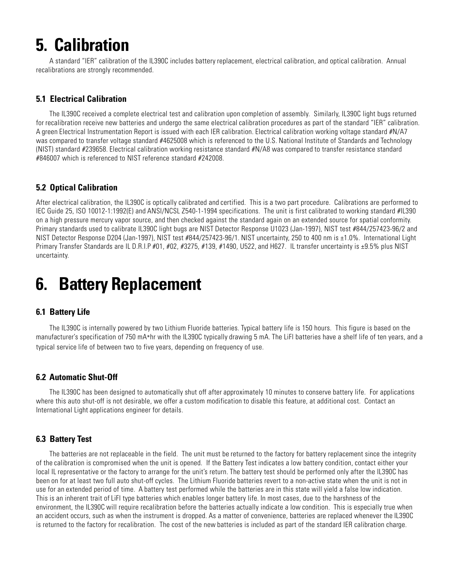# **5. Calibration**

A standard "IER" calibration of the IL390C includes battery replacement, electrical calibration, and optical calibration. Annual recalibrations are strongly recommended.

### **5.1 Electrical Calibration**

The IL390C received a complete electrical test and calibration upon completion of assembly. Similarly, IL390C light bugs returned for recalibration receive new batteries and undergo the same electrical calibration procedures as part of the standard "IER" calibration. A green Electrical Instrumentation Report is issued with each IER calibration. Electrical calibration working voltage standard #N/A7 was compared to transfer voltage standard #4625008 which is referenced to the U.S. National Institute of Standards and Technology (NIST) standard #239658. Electrical calibration working resistance standard #N/A8 was compared to transfer resistance standard #846007 which is referenced to NIST reference standard #242008.

### **5.2 Optical Calibration**

After electrical calibration, the IL390C is optically calibrated and certified. This is a two part procedure. Calibrations are performed to IEC Guide 25, ISO 10012-1:1992(E) and ANSI/NCSL Z540-1-1994 specifications. The unit is first calibrated to working standard #IL390 on a high pressure mercury vapor source, and then checked against the standard again on an extended source for spatial conformity. Primary standards used to calibrate IL390C light bugs are NIST Detector Response U1023 (Jan-1997), NIST test #844/257423-96/2 and NIST Detector Response D204 (Jan-1997), NIST test #844/257423-96/1. NIST uncertainty, 250 to 400 nm is ±1.0%. International Light Primary Transfer Standards are IL D.R.I.P #01, #02, #3275, #139, #1490, U522, and H627. IL transfer uncertainty is ±9.5% plus NIST uncertainty.

### **6. Battery Replacement**

### **6.1 Battery Life**

The IL390C is internally powered by two Lithium Fluoride batteries. Typical battery life is 150 hours. This figure is based on the manufacturer's specification of 750 mA\*hr with the IL390C typically drawing 5 mA. The LiFl batteries have a shelf life of ten years, and a typical service life of between two to five years, depending on frequency of use.

### **6.2 Automatic Shut-Off**

The IL390C has been designed to automatically shut off after approximately 10 minutes to conserve battery life. For applications where this auto shut-off is not desirable, we offer a custom modification to disable this feature, at additional cost. Contact an International Light applications engineer for details.

### **6.3 Battery Test**

The batteries are not replaceable in the field. The unit must be returned to the factory for battery replacement since the integrity of the calibration is compromised when the unit is opened. If the Battery Test indicates a low battery condition, contact either your local IL representative or the factory to arrange for the unit's return. The battery test should be performed only after the IL390C has been on for at least two full auto shut-off cycles. The Lithium Fluoride batteries revert to a non-active state when the unit is not in use for an extended period of time. A battery test performed while the batteries are in this state will yield a false low indication. This is an inherent trait of LiFl type batteries which enables longer battery life. In most cases, due to the harshness of the environment, the IL390C will require recalibration before the batteries actually indicate a low condition. This is especially true when an accident occurs, such as when the instrument is dropped. As a matter of convenience, batteries are replaced whenever the IL390C is returned to the factory for recalibration. The cost of the new batteries is included as part of the standard IER calibration charge.